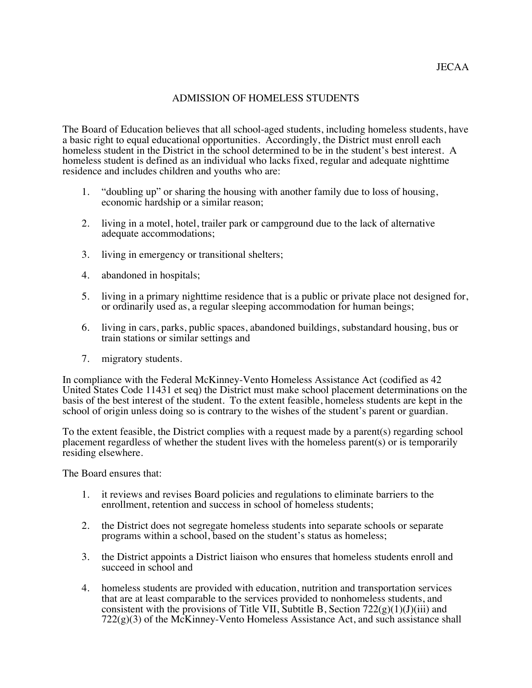## ADMISSION OF HOMELESS STUDENTS

The Board of Education believes that all school-aged students, including homeless students, have a basic right to equal educational opportunities. Accordingly, the District must enroll each homeless student in the District in the school determined to be in the student's best interest. A homeless student is defined as an individual who lacks fixed, regular and adequate nighttime residence and includes children and youths who are:

- 1. "doubling up" or sharing the housing with another family due to loss of housing, economic hardship or a similar reason;
- 2. living in a motel, hotel, trailer park or campground due to the lack of alternative adequate accommodations;
- 3. living in emergency or transitional shelters;
- 4. abandoned in hospitals;
- 5. living in a primary nighttime residence that is a public or private place not designed for, or ordinarily used as, a regular sleeping accommodation for human beings;
- 6. living in cars, parks, public spaces, abandoned buildings, substandard housing, bus or train stations or similar settings and
- 7. migratory students.

 In compliance with the Federal McKinney-Vento Homeless Assistance Act (codified as 42 United States Code 11431 et seq) the District must make school placement determinations on the basis of the best interest of the student. To the extent feasible, homeless students are kept in the school of origin unless doing so is contrary to the wishes of the student's parent or guardian.

To the extent feasible, the District complies with a request made by a parent(s) regarding school placement regardless of whether the student lives with the homeless parent(s) or is temporarily residing elsewhere.

The Board ensures that:

- 1. it reviews and revises Board policies and regulations to eliminate barriers to the enrollment, retention and success in school of homeless students;
- 2. the District does not segregate homeless students into separate schools or separate programs within a school, based on the student's status as homeless;
- 3. the District appoints a District liaison who ensures that homeless students enroll and succeed in school and
- 4. homeless students are provided with education, nutrition and transportation services that are at least comparable to the services provided to nonhomeless students, and consistent with the provisions of Title VII, Subtitle B, Section  $722(g)(1)(J)(iii)$  and  $722(g)(3)$  of the McKinney-Vento Homeless Assistance Act, and such assistance shall